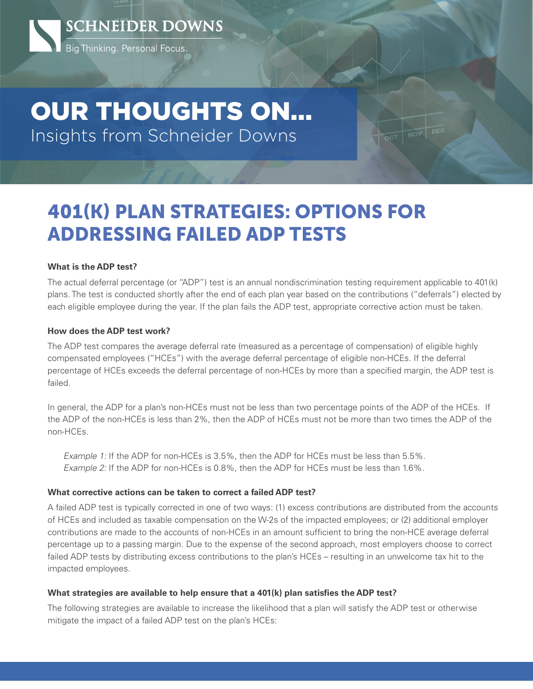

# OUR THOUGHTS ON...

Insights from Schneider Downs

401(K) PLAN STRATEGIES: OPTIONS FOR ADDRESSING FAILED ADP TESTS

# **What is the ADP test?**

The actual deferral percentage (or "ADP") test is an annual nondiscrimination testing requirement applicable to 401(k) plans. The test is conducted shortly after the end of each plan year based on the contributions ("deferrals") elected by each eligible employee during the year. If the plan fails the ADP test, appropriate corrective action must be taken.

## **How does the ADP test work?**

The ADP test compares the average deferral rate (measured as a percentage of compensation) of eligible highly compensated employees ("HCEs") with the average deferral percentage of eligible non-HCEs. If the deferral percentage of HCEs exceeds the deferral percentage of non-HCEs by more than a specified margin, the ADP test is failed.

In general, the ADP for a plan's non-HCEs must not be less than two percentage points of the ADP of the HCEs. If the ADP of the non-HCEs is less than 2%, then the ADP of HCEs must not be more than two times the ADP of the non-HCEs.

Example 1: If the ADP for non-HCEs is 3.5%, then the ADP for HCEs must be less than 5.5%. Example 2: If the ADP for non-HCEs is 0.8%, then the ADP for HCEs must be less than 1.6%.

## **What corrective actions can be taken to correct a failed ADP test?**

A failed ADP test is typically corrected in one of two ways: (1) excess contributions are distributed from the accounts of HCEs and included as taxable compensation on the W-2s of the impacted employees; or (2) additional employer contributions are made to the accounts of non-HCEs in an amount sufficient to bring the non-HCE average deferral percentage up to a passing margin. Due to the expense of the second approach, most employers choose to correct failed ADP tests by distributing excess contributions to the plan's HCEs – resulting in an unwelcome tax hit to the impacted employees.

# **What strategies are available to help ensure that a 401(k) plan satisfies the ADP test?**

The following strategies are available to increase the likelihood that a plan will satisfy the ADP test or otherwise mitigate the impact of a failed ADP test on the plan's HCEs: